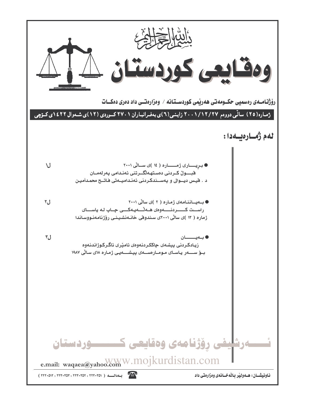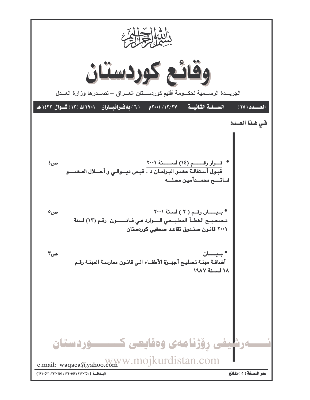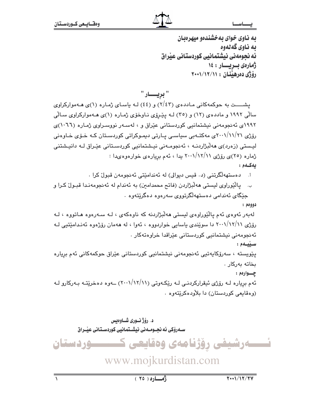به ناوی خوای به خشندهو میهرهبان ىە ناوي گەنەوە ئه نحومهني نيشتمانيي كوردستاني عيّراق ژمارەى بىريسار : ١٤ رۆژى دەرھينان : ١١/١٢/١٠١

" بریــــار "

یشــــت به حوکمهکانی مـاددهی (۲/٤۳) و (٤٤) لـه باسـای ژمـاره (۱)ی هــهموارکراوی سالی ۱۹۹۲ و ماددهی (۱۲) و (۳٥) لـه ییّروّی نـاوخوّی ژمـاره (۱)ی هـهموارکراوی سـالّی ۱۹۹۲ی ئەنجومەنی نیشتمانیی کوردستانی عیّراق و ، لەسەر نووسىراوى ژمارە (۱۰٦٦)ى رۆژی ۲۰۰۱/۱۱/۲۱ی مەکتـەبی سیاسـی پـارتی دیمـوکراتی کوردسـتان کـه خـۆی خـاوەنی لیستی (زەرد)ی مەلّىژاردنـه ، ئەنجومـەنى نیـشتمانیی كوردسـتانی عیّـراق لـه دانیـشتنی ژماره (۲۰)ی رۆژی ۲۰۰۱/۱۲/۱۱ یدا ، ئهم بږیارهی خوارهوهىدا : ىەكسەم:

- دەستھەلگرتنى (د. قيس ديوالى) لە ئەندامێتى ئەنجومەن قبول كرا .  $\cdot$ , î
- يالٽوراوي ليستي هه لُبِژاردن (فاتح محمدامين) به ئهندام له ئه نجومهندا قبـول کرا و ب. جێگای ئەندامی دەستھەلگرتووی سەرەوە دەگرێتەوە ٠

دوومم :

لهبهر ئەوەي ئەم يالێوراوەي ليستى ھەلٚبژاردنە كە ناوەكەي ، لـه سـەرەوە ھـاتووە ، لـه رۆژی ۲۰۰۱/۱۲/۱۱ دا سويندی ياسايي خواردووه ، ئەوا ، له هەمان رۆژەوه ئەنـدامێتيي لـه ئەنجومەنى نيشتمانيى كوردستانى عێراقدا خراوەتەكار . سييمم :

يێويستە ، سەرۆكايەتيى ئەنجومەنى نيشتمانيى كوردستانى عێراق حوكمەكانى ئەم بريارە ىخاتە بەركار .

چـــوارەم :

ئهم برياره لـه رۆژى ئيقراركردنـى لـه رێِكـهوتى (١١//١٢/١١) ــهوه دهخرێتـه بـهركارو لـه (وهقايعي کوردستان) دا بلاودهکريتهوه .

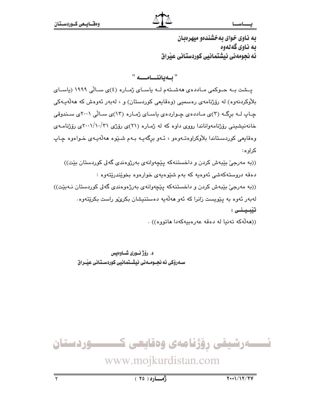به ناوی خوای به خشندهو میهرهبان ىە ناوي گەنەوە ئه نحومهني نيشتمانيي كوردستاني عيّراق

" ىلەياننسامىسە "

يـشت بـه حــوكمى مــاددهى ههشــتهم لــه باسـاى ژمــاره (٤)ى ســالّى ١٩٩٩ (باسـاى بلاْوکردنهوه) له رۆژنامهی رەسمیی (وەقايعی کوردستان) و ، لەبەر ئەوەش کە ھەلّەيـەکی چـاپ لــه برگــه (٣)ى مـاددهى چـواردهى ياسـاى ژمـاره (١٣)ى سـالّى ٢٠٠١ى سـندوقى خانهنیشینی رۆژنامهواناندا رووی داوه که له ژماره (۲۱)ی رۆژی ۲۰۰۱/۱۰/۳۱ی رۆژنامـهی وهقايعي کوردستاندا بلاّوکراوهتـهوهو ، ئـهو برگهيـه بـهم شـُـێوه ههڵهيـهي خـواهوه چـاپ کر او ه:

((به مەرجىٰ بِيْبەش كردن و داخستنەكە يِيْچەوانەي بەرژوەندى گەلى كوردستان بِيْت)) دهقه دروستهکهشی ئهوهیه که بهم شێوهیهی خوارهوه بخوێندرێتهوه : ((به مەرجى بيّبەش كردن و داخستنەكە ييّچەوانەي بەرژەوەندى گەلى كوردستان نـەبيّت)) لەبەر ئەوە بە يێويست زانرا كە ئەو ھەلّەيە دەستنيشان بكرى،و راست بكرێتەوە. تيبينى :

((هەلەكە تەنيا لە دەقە عەرەبيەكەدا ھاتووە)) .

د. رۆژنـورى شـاوەبس ســهروکی ئه نجــومــه نی نیشــتمانیی کوردسـتـانی عیّــراق

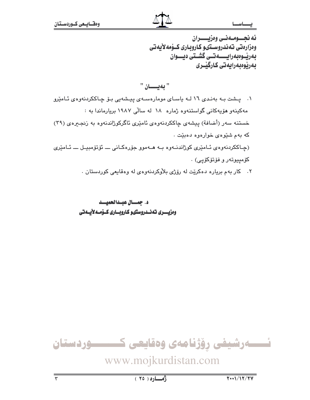ئه نجـــومــهنــى وەزيــــــران ومزارمتي تەندروسىتىو كاروبارى كــۆمەلأيەتى بەرپىوەبەرايىسىەتسى گشىتى ديسىوان بەرپوەبەرايەتى كارگێـرى

" بەيسسان " ۰۱ یشت به بهندی ۱۲ لـه یاسـای مومارهسـهی پیشهیی بـوّ چـاککردنهوهی ئـامێرو مهکینهو هۆیهکانی گواستنهوه ژماره ۱۸ له سالی ۱۹۸۷ بریارماندا به : خستنه سهر (أضافة) بیشهی چاککردنهوهی ئامیری ئاگرکوژاندنهوه به زنجیرهی (۳۹) که بهم شَيْوهى خوارهوه دهبيْت . (چاککردنهوهي ئـامێري کوژاندنــهوه بــه هــهموو جۆرەکـانى ــــ ئۆتۆمبيــل ــــ ئــامێرى كۆمپيوتەر و فۆتۆكۆيى) .

۲. کار بهم برياره دهکريّت له روّژي بلاوکردنهوهي له وهقايعي کوردستان .

د. جمــال عبـدالحميــد وەزيــــــــرى تــُەنــــدروستىو كــارويـــــارى كـــۆمـــەلايـــەتى



## www.mojkurdistan.com

 $(70)$   $(0)$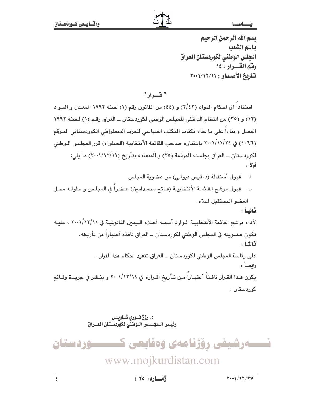## تسم الله الرحمن الرحيم ياسم الشعب المجلس الوطني لكوردستان العراق رقم القسرار : ١٤ تأريخ الأصدار : ١١/١٢/١٧

" ف) د

استنادا الى احكام المواد (٢/٤٣) و (٤٤) من القانون رقم (١) لسنة ١٩٩٢ المعدل و المـواد (١٢) و (٣٥) من النظام الداخلي للمجلس الوطني لكوردستان ـ العراق رقم (١) لسنة ١٩٩٢ المعدل و بناءا على ما جاء بكتاب المكتب السياسي للحزب الديمقراطي الكوردستاني المرقم (١٠٦٦) في ٢٠٠١/١١/٢١ باعتباره صاحب القائمة الأنتخابية (الصفراء) قرر المجلس الـوطني لكوردستان ــ العراق بجلسته المرقمة (٢٥) و المنعقدة بتأريخ (١١/١٢/١١) ما يلي: أولاً:

- قبول أستقالة (د.قيس ديوالي) من عضوية المجلس. أ.
- قبول مرشح القائمة الأنتخابيـة (فـاتح محمـدامين) عـضوا في المجلـس و حلولـه محـل ب. العضو المستقبل اعلاه.

ثانيـا :

لأداء مرشح القائمة الأنتخابيـة الـوارد أسمـه أعـلاه الـيمن القانونيـة في ٢٠٠١/١٢/١١ ، عليـه تكون عضويته في المجلس الوطني لكوردستان ــ العراق نافذة أعتبارا من تأريخه . ثانثـاً : على رئاسة المجلس الوطني لكوردستان ــ العراق تنفيذ احكام هذا القرار . رابعــاً : يكون هـذا القـرار نافـذا أعتبـارا مـن تـأريخ اقـراره في ٢٠٠١/١٢/١١ و ينـشر في جريـدة وقـائـع

کوردستان .

د. رؤژ نسوري شــاويــس رئيس البجسلس الوطني لكوردستان العسراق ئــــــەرشيفى رۆژنامەي وەقايعى ك ـوردستان www.mojkurdistan.com  $\overline{\epsilon}$  $Y \cdot \frac{1}{11}$ <del>زما</del>ره ( ٢٥ )